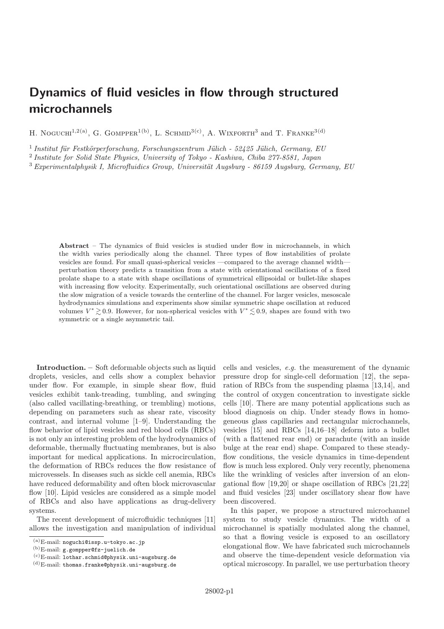## Dynamics of fluid vesicles in flow through structured microchannels

H. NOGUCHI<sup>1,2(a)</sup>, G. GOMPPER<sup>1(b)</sup>, L. SCHMID<sup>3(c)</sup>, A. WIXFORTH<sup>3</sup> and T. FRANKE<sup>3(d)</sup>

 $1$  Institut für Festkörperforschung, Forschungszentrum Jülich - 52425 Jülich, Germany, EU

2 Institute for Solid State Physics, University of Tokyo - Kashiwa, Chiba 277-8581, Japan

 $3$  Experimentalphysik I, Microfluidics Group, Universität Augsburg - 86159 Augsburg, Germany, EU

Abstract – The dynamics of fluid vesicles is studied under flow in microchannels, in which the width varies periodically along the channel. Three types of flow instabilities of prolate vesicles are found. For small quasi-spherical vesicles —compared to the average channel width perturbation theory predicts a transition from a state with orientational oscillations of a fixed prolate shape to a state with shape oscillations of symmetrical ellipsoidal or bullet-like shapes with increasing flow velocity. Experimentally, such orientational oscillations are observed during the slow migration of a vesicle towards the centerline of the channel. For larger vesicles, mesoscale hydrodynamics simulations and experiments show similar symmetric shape oscillation at reduced volumes  $V^* \gtrsim 0.9$ . However, for non-spherical vesicles with  $V^* \lesssim 0.9$ , shapes are found with two symmetric or a single asymmetric tail.

Introduction. – Soft deformable objects such as liquid droplets, vesicles, and cells show a complex behavior under flow. For example, in simple shear flow, fluid vesicles exhibit tank-treading, tumbling, and swinging (also called vacillating-breathing, or trembling) motions, depending on parameters such as shear rate, viscosity contrast, and internal volume [1–9]. Understanding the flow behavior of lipid vesicles and red blood cells (RBCs) is not only an interesting problem of the hydrodynamics of deformable, thermally fluctuating membranes, but is also important for medical applications. In microcirculation, the deformation of RBCs reduces the flow resistance of microvessels. In diseases such as sickle cell anemia, RBCs have reduced deformability and often block microvascular flow [10]. Lipid vesicles are considered as a simple model of RBCs and also have applications as drug-delivery systems.

The recent development of microfluidic techniques [11] allows the investigation and manipulation of individual cells and vesicles, e.g. the measurement of the dynamic pressure drop for single-cell deformation [12], the separation of RBCs from the suspending plasma [13,14], and the control of oxygen concentration to investigate sickle cells [10]. There are many potential applications such as blood diagnosis on chip. Under steady flows in homogeneous glass capillaries and rectangular microchannels, vesicles [15] and RBCs [14,16–18] deform into a bullet (with a flattened rear end) or parachute (with an inside bulge at the rear end) shape. Compared to these steadyflow conditions, the vesicle dynamics in time-dependent flow is much less explored. Only very recently, phenomena like the wrinkling of vesicles after inversion of an elongational flow [19,20] or shape oscillation of RBCs [21,22] and fluid vesicles [23] under oscillatory shear flow have been discovered.

In this paper, we propose a structured microchannel system to study vesicle dynamics. The width of a microchannel is spatially modulated along the channel, so that a flowing vesicle is exposed to an oscillatory elongational flow. We have fabricated such microchannels and observe the time-dependent vesicle deformation via optical microscopy. In parallel, we use perturbation theory

 $(a)$ E-mail: noguchi@issp.u-tokyo.ac.jp<br>(b)E-mail:  $\sigma$ -gerppor@fg-iuolichede

 $^{(b)}$ E-mail: g.gompper@fz-juelich.de

<sup>(</sup>c)E-mail: lothar.schmid@physik.uni-augsburg.de

<sup>(</sup>d)E-mail: thomas.franke@physik.uni-augsburg.de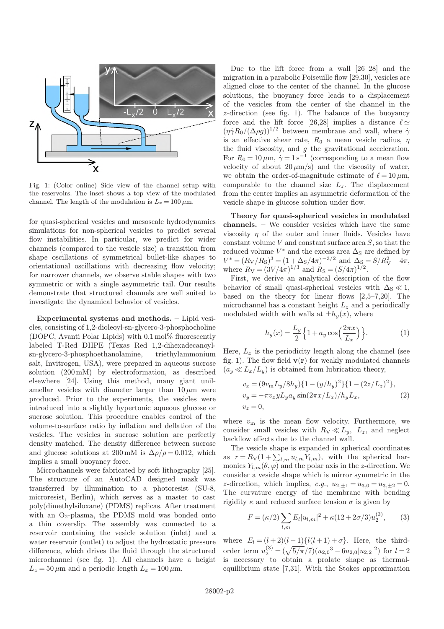

Fig. 1: (Color online) Side view of the channel setup with the reservoirs. The inset shows a top view of the modulated channel. The length of the modulation is  $L_x = 100 \,\mu \text{m}$ .

for quasi-spherical vesicles and mesoscale hydrodynamics simulations for non-spherical vesicles to predict several flow instabilities. In particular, we predict for wider channels (compared to the vesicle size) a transition from shape oscillations of symmetrical bullet-like shapes to orientational oscillations with decreasing flow velocity; for narrower channels, we observe stable shapes with two symmetric or with a single asymmetric tail. Our results demonstrate that structured channels are well suited to investigate the dynamical behavior of vesicles.

Experimental systems and methods. – Lipid vesicles, consisting of 1,2-dioleoyl-sn-glycero-3-phosphocholine (DOPC, Avanti Polar Lipids) with <sup>0</sup>.<sup>1</sup> mol% fluorescently labeled T-Red DHPE (Texas Red 1,2-dihexadecanoylsn-glycero-3-phosphoethanolamine, triethylammonium salt, Invitrogen, USA), were prepared in aqueous sucrose solution (200 mM) by electroformation, as described elsewhere [24]. Using this method, many giant unilamellar vesicles with diameter larger than  $10 \mu m$  were produced. Prior to the experiments, the vesicles were introduced into a slightly hypertonic aqueous glucose or sucrose solution. This procedure enables control of the volume-to-surface ratio by inflation and deflation of the vesicles. The vesicles in sucrose solution are perfectly density matched. The density difference between sucrose and glucose solutions at 200 mM is  $\Delta \rho / \rho = 0.012$ , which implies a small buoyancy force.

Microchannels were fabricated by soft lithography [25]. The structure of an AutoCAD designed mask was transferred by illumination to a photoresist (SU-8, microresist, Berlin), which serves as a master to cast poly(dimethylsiloxane) (PDMS) replicas. After treatment with an  $O_2$ -plasma, the PDMS mold was bonded onto a thin coverslip. The assembly was connected to a reservoir containing the vesicle solution (inlet) and a water reservoir (outlet) to adjust the hydrostatic pressure difference, which drives the fluid through the structured microchannel (see fig. 1). All channels have a height  $L_z = 50 \,\mu \text{m}$  and a periodic length  $L_x = 100 \,\mu \text{m}$ .

Due to the lift force from a wall [26–28] and the migration in a parabolic Poiseuille flow [29,30], vesicles are aligned close to the center of the channel. In the glucose solutions, the buoyancy force leads to a displacement of the vesicles from the center of the channel in the z-direction (see fig. 1). The balance of the buoyancy force and the lift force [26,28] implies a distance  $\ell \simeq$ <br> $(n\alpha R_2/(\Delta \rho g))^{1/2}$  between membrane and wall, where  $\alpha$  $(\eta \dot{\gamma} R_0/(\Delta \rho g))^{1/2}$  between membrane and wall, where  $\dot{\gamma}$ <br>is an effective shear rate,  $R_2$  a mean vesicle radius, m is an effective shear rate,  $R_0$  a mean vesicle radius,  $\eta$ the fluid viscosity, and  $g$  the gravitational acceleration. For  $R_0 = 10 \mu m$ ,  $\dot{\gamma} = 1 \text{ s}^{-1}$  (corresponding to a mean flow<br>velocity of about 20  $\mu$ m/s) and the viscosity of water velocity of about  $20 \mu m/s$ ) and the viscosity of water, we obtain the order-of-magnitude estimate of  $\ell = 10 \,\mu\text{m}$ ,<br>comparable to the channel size L. The displacement comparable to the channel size  $L_z$ . The displacement from the center implies an asymmetric deformation of the vesicle shape in glucose solution under flow.

Theory for quasi-spherical vesicles in modulated channels. – We consider vesicles which have the same viscosity  $\eta$  of the outer and inner fluids. Vesicles have constant volume  $V$  and constant surface area  $S$ , so that the reduced volume  $V = (R_{\rm V}/R_{\rm g})^3$ reduced volume  $V^*$  and the excess area  $\Delta_{\rm S}$  are defined by where  $R_V = (3V/4\pi)^{1/3}$  and  $R_S = (S/4\pi)^{1/2}$ .<br>First we derive an analytical description  $x^* = (R_V/R_S)^3 = (1+\Delta_S/4\pi)^{-3/2}$  and  $\Delta_S = S/R_V^2 - 4\pi$ ,<br>here  $R_V = (3V/4\pi)^{1/3}$  and  $R_S = (S/4\pi)^{1/2}$ 

First, we derive an analytical description of the flow behavior of small quasi-spherical vesicles with  $\Delta_{\rm S} \ll 1$ , based on the theory for linear flows [2,5–7,20]. The microchannel has a constant height  $L_z$  and a periodically modulated width with walls at  $\pm h_y(x)$ , where

$$
h_y(x) = \frac{L_y}{2} \left\{ 1 + a_y \cos\left(\frac{2\pi x}{L_x}\right) \right\}.
$$
 (1)

Here,  $L_x$  is the periodicity length along the channel (see fig. 1). The flow field  $\mathbf{v}(\mathbf{r})$  for weakly modulated channels  $(a_y \ll L_x/L_y)$  is obtained from lubrication theory,

$$
v_x = (9v_m L_y / 8h_y) \{1 - (y/h_y)^2\} \{1 - (2z/L_z)^2\},
$$
  
\n
$$
v_y = -\pi v_x y L_y a_y \sin(2\pi x/L_x) / h_y L_x,
$$
  
\n
$$
v_z = 0,
$$
\n(2)

where  $v_m$  is the mean flow velocity. Furthermore, we consider small vesicles with  $R_V \ll L_y$ ,  $L_z$ , and neglect<br>backflow effects due to the channel wall backflow effects due to the channel wall.

The vesicle shape is expanded in spherical coordinates as  $r = R_V(1 + \sum_{l,m} u_{l,m} Y_{l,m})$ , with the spherical har-<br>monics  $V_{l}$ , ( $\theta$  (a) and the polar axis in the z-direction We monics  $Y_{l,m}(\theta,\varphi)$  and the polar axis in the z-direction. We consider a vesicle shape which is mirror symmetric in the *z*-direction, which implies, *e.g.*,  $u_{2,\pm 1} = u_{3,0} = u_{3,\pm 2} = 0$ . The curvature energy of the membrane with bending rigidity  $\kappa$  and reduced surface tension  $\sigma$  is given by

$$
F = (\kappa/2) \sum_{l,m} E_l |u_{l,m}|^2 + \kappa (12 + 2\sigma/3) u_2^{(3)},
$$
 (3)

where  $E_l = (l+2)(l-1)\{l(l+1)+\sigma\}$ . Here, the thirdorder term  $u_2^{(3)} = (\sqrt{5/\pi}/7)(u_{2,0}^3 - 6u_{2,0}|u_{2,2}|^2)$  for  $l = 2$ <br>is necessary to obtain a prolate shape as thermal. is necessary to obtain a prolate shape as thermalequilibrium state [7,31]. With the Stokes approximation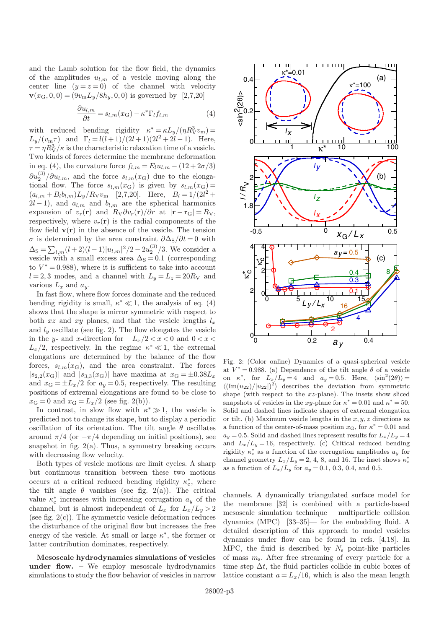and the Lamb solution for the flow field, the dynamics of the amplitudes  $u_{l,m}$  of a vesicle moving along the center line  $(y = z = 0)$  of the channel with velocity  $\mathbf{v}(x_{\rm G}, 0, 0) = (9v_{\rm m}L_y/8h_y, 0, 0)$  is governed by [2,7,20]

$$
\frac{\partial u_{l,m}}{\partial t} = s_{l,m}(x_{\rm G}) - \kappa^* \Gamma_l f_{l,m} \tag{4}
$$

with reduced bending rigidity  $\kappa^* = \kappa L_y/(\eta R_V^3 v_{\rm m}) =$ <br>  $\frac{L}{v_{\rm m}} = \frac{L_y}{v_{\rm m}} = \frac{1}{2} \frac{1}{(1+1)^2} = \frac{1}{2} \frac{1}{(1+1)^2} = \frac{1}{2} \frac{1}{(1+1)^2} = \frac{1}{2}$  $L_y/(v_m \tau)$  and  $\Gamma_l = l(l+1)/(2l+1)(2l^2+2l-1)$ . Here,<br> $\tau = nR^3/\kappa$  is the characteristic relaxation time of a vesicle  $\tau = \eta R_v^3/\kappa$  is the characteristic relaxation time of a vesicle.<br>Two kinds of forces determine the membrane deformation Two kinds of forces determine the membrane deformation in eq. (4), the curvature force  $f_{l,m} = E_l u_{l,m} - (12 + 2\sigma/3)$ tional flow. The force  $s_{l,m}(x_G)$  is given by  $s_{l,m}(x_G) =$ <br>  $(a_1 + B_1b_1) \cdot [B_1x_2] \cdot [2.720]$  Here  $B_2 = 1/(2l^2 + 1)$  $\left(\frac{3}{2}\right)$   $\left(\frac{\partial u_{l,m}}{\partial u_{l,m}}\right)$ , and the force  $s_{l,m}(x_G)$  due to the elonga- $(a_{l,m} + B_l b_{l,m}) L_y / R_V v_m$  [2,7,20]. Here,  $B_l = 1/(2l^2 + 2l - 1)$  and  $a_{l,m}$  and  $b_{l,m}$  are the spherical harmonics  $2l-1$ , and  $a_{l,m}$  and  $b_{l,m}$  are the spherical harmonics expansion of  $v_r(\mathbf{r})$  and  $R_V\partial v_r(\mathbf{r})/\partial r$  at  $|\mathbf{r}-\mathbf{r}_{\rm G}| = R_V$ , respectively, where  $v_r(\mathbf{r})$  is the radial components of the flow field  $\mathbf{v}(\mathbf{r})$  in the absence of the vesicle. The tension σ is determined by the area constraint  $\partial \Delta_S/\partial t = 0$  with  $\Delta_{\rm S} = \sum_{l,m} (l+2)(l-1)|u_{l,m}|^2/2 - 2u_2^{(3)}/3$ . We consider a vesicle with a small excess area  $\Delta$ <sub>S</sub> = 0.1 (corresponding to  $V^* = 0.988$ , where it is sufficient to take into account  $l = 2, 3$  modes, and a channel with  $L = L = 20R_{\rm V}$  and  $l = 2, 3$  modes, and a channel with  $L_y = L_z = 20R_V$  and various  $L_x$  and  $a_y$ .

In fast flow, where flow forces dominate and the reduced bending rigidity is small,  $\kappa^* \ll 1$ , the analysis of eq. (4) shows that the shape is mirror symmetric with respect to shows that the shape is mirror symmetric with respect to both xz and xy planes, and that the vesicle lengths  $l_x$ and  $l_y$  oscillate (see fig. 2). The flow elongates the vesicle in the y- and x-direction for  $-L_x/2 < x < 0$  and  $0 < x <$  $L_x/2$ , respectively. In the regime  $\kappa^* \ll 1$ , the extremal alongstions are determined by the balance of the flow elongations are determined by the balance of the flow forces,  $s_{l,m}(x_G)$ , and the area constraint. The forces  $|s_{2,2}(x_{\rm G})|$  and  $|s_{3,3}(x_{\rm G})|$  have maxima at  $x_{\rm G} = \pm 0.38L_x$ and  $x_G = \pm L_x/2$  for  $a_y = 0.5$ , respectively. The resulting positions of extremal elongations are found to be close to  $x_{\text{G}} = 0$  and  $x_{\text{G}} = L_x/2$  (see fig. 2(b)).

In contrast, in slow flow with  $\kappa^* \gg 1$ , the vesicle is<br>edicted not to change its shape, but to display a periodic predicted not to change its shape, but to display a periodic oscillation of its orientation. The tilt angle  $\theta$  oscillates around  $\pi/4$  (or  $-\pi/4$  depending on initial positions), see snapshot in fig.  $2(a)$ . Thus, a symmetry breaking occurs with decreasing flow velocity.

Both types of vesicle motions are limit cycles. A sharp but continuous transition between these two motions occurs at a critical reduced bending rigidity  $\kappa_c^*$ , where<br>the tilt angle  $\theta$  rapishes (see fig. 2(a)). The critical the tilt angle  $\theta$  vanishes (see fig. 2(a)). The critical value  $\kappa_c^*$  increases with increasing corrugation  $a_y$  of the channel but is almost independent of L, for  $L/L \geq 2$ channel, but is almost independent of  $L_x$  for  $L_x/L_y > 2$ (see fig.  $2(c)$ ). The symmetric vesicle deformation reduces the disturbance of the original flow but increases the free energy of the vesicle. At small or large  $\kappa^*$ , the former or latter contribution dominates respectively latter contribution dominates, respectively.

Mesoscale hydrodynamics simulations of vesicles under flow. – We employ mesoscale hydrodynamics simulations to study the flow behavior of vesicles in narrow



Fig. 2: (Color online) Dynamics of a quasi-spherical vesicle at  $V^* = 0.988$ . (a) Dependence of the tilt angle  $\theta$  of a vesicle on  $\kappa^*$ , for  $L_x/L_y = 4$  and  $a_y = 0.5$ . Here,  $\langle \sin^2(2\theta) \rangle =$  $\langle \left( \text{Im}(u_{22})/|u_{22}|\right)^2 \rangle$  describes the deviation from symmetric shape (with respect to the  $xz$ -plane). The insets show sliced snapshots of vesicles in the xy-plane for  $\kappa^* = 0.01$  and  $\kappa^* = 50$ . Solid and dashed lines indicate shapes of extremal elongation or tilt. (b) Maximum vesicle lengths in the  $x, y, z$  directions as a function of the center-of-mass position  $x_{\text{G}}$ , for  $\kappa^* = 0.01$  and  $a_y = 0.5$ . Solid and dashed lines represent results for  $L_x/L_y = 4$ and  $L_x/L_y = 16$ , respectively. (c) Critical reduced bending rigidity  $\kappa_c^*$  as a function of the corrugation amplitudes  $a_y$  for channel geometry  $L_x/L_y = 2, 4, 8,$  and 16. The inset shows  $\kappa_c^*$ as a function of  $L_x/L_y$  for  $a_y = 0.1, 0.3, 0.4,$  and 0.5.

channels. A dynamically triangulated surface model for the membrane [32] is combined with a particle-based mesoscale simulation technique —multiparticle collision dynamics (MPC) [33–35]— for the embedding fluid. A detailed description of this approach to model vesicles dynamics under flow can be found in refs. [4,18]. In MPC, the fluid is described by  $N_s$  point-like particles of mass  $m_s$ . After free streaming of every particle for a time step  $\Delta t$ , the fluid particles collide in cubic boxes of lattice constant  $a = L_x/16$ , which is also the mean length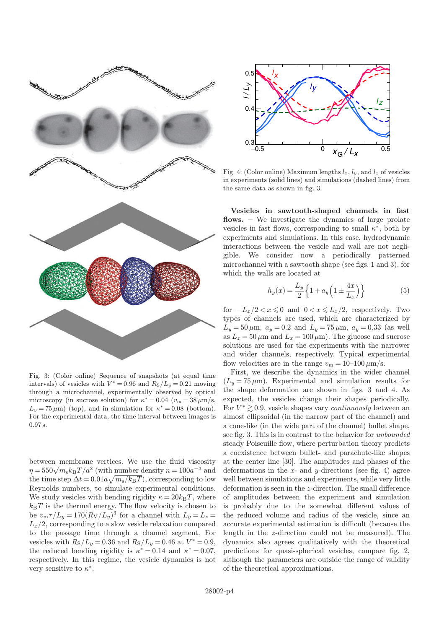

Fig. 3: (Color online) Sequence of snapshots (at equal time intervals) of vesicles with  $V^* = 0.96$  and  $R_S/L_y = 0.21$  moving through a microchannel, experimentally observed by optical microscopy (in sucrose solution) for  $\kappa^* = 0.04$  ( $v_m = 38 \,\mu \text{m/s}$ ,  $L_y = 75 \,\mu\text{m}$ ) (top), and in simulation for  $\kappa^* = 0.08$  (bottom). For the experimental data, the time interval between images is 0.97 s.

between membrane vertices. We use the fluid viscosity  $\eta = 550 \sqrt{m_s k_B T}/a^2$  (with number density  $n = 100a^{-3}$  and<br>the time step  $\Delta t = 0.01a \sqrt{m/k_B T}$ ) corresponding to low  $m_\mathrm{s}k_\mathrm{B}T/a$ sten A $t$ the time step  $\Delta t = 0.01a\sqrt{m_s/k_BT}$ , corresponding to low<br>Beynolds numbers to simulate experimental conditions Reynolds numbers, to simulate experimental conditions. We study vesicles with bending rigidity  $\kappa = 20k_BT$ , where  $k_BT$  is the thermal energy. The flow velocity is chosen to be  $v_{\rm m}\tau/L_y = 170(R_{\rm V}/L_y)^3$  for a channel with  $L_y = L_z = L_z/2$  corresponding to a slow vesicle relaxation compared  $L_x/2$ , corresponding to a slow vesicle relaxation compared to the passage time through a channel segment. For vesicles with  $R_S/L_y = 0.36$  and  $R_S/L_y = 0.46$  at  $V^* = 0.9$ ,<br>the reduced bending rigidity is  $\kappa^* = 0.14$  and  $\kappa^* = 0.07$ the reduced bending rigidity is  $\kappa^* = 0.14$  and  $\kappa^* = 0.07$ ,<br>respectively In this regime, the vesicle dynamics is not respectively. In this regime, the vesicle dynamics is not very sensitive to  $\kappa^*$ .



Fig. 4: (Color online) Maximum lengths  $l_x$ ,  $l_y$ , and  $l_z$  of vesicles in experiments (solid lines) and simulations (dashed lines) from the same data as shown in fig. 3.

Vesicles in sawtooth-shaped channels in fast flows. – We investigate the dynamics of large prolate vesicles in fast flows, corresponding to small  $\kappa^*$ , both by<br>experiments and simulations. In this case, hydrodynamic experiments and simulations. In this case, hydrodynamic interactions between the vesicle and wall are not negligible. We consider now a periodically patterned microchannel with a sawtooth shape (see figs. 1 and 3), for which the walls are located at

$$
h_y(x) = \frac{L_y}{2} \left\{ 1 + a_y \left( 1 \pm \frac{4x}{L_x} \right) \right\} \tag{5}
$$

for  $-L_x/2 < x \le 0$  and  $0 < x \le L_x/2$ , respectively. Two types of channels are used, which are characterized by  $L_y = 50 \,\mu \text{m}, \ a_y = 0.2 \text{ and } L_y = 75 \,\mu \text{m}, \ a_y = 0.33 \text{ (as well)}$ as  $L_z = 50 \,\mu\text{m}$  and  $L_x = 100 \,\mu\text{m}$ . The glucose and sucrose solutions are used for the experiments with the narrower and wider channels, respectively. Typical experimental flow velocities are in the range  $v_m = 10{\text -}100 \,\mu{\text m/s}}$ .

First, we describe the dynamics in the wider channel  $(L_y = 75 \,\mu\text{m})$ . Experimental and simulation results for the shape deformation are shown in figs. 3 and 4. As expected, the vesicles change their shapes periodically. For  $V^* \gtrsim 0.9$ , vesicle shapes vary *continuously* between an almost ellipsoidal (in the parrow part of the channel) and almost ellipsoidal (in the narrow part of the channel) and a cone-like (in the wide part of the channel) bullet shape, see fig. 3. This is in contrast to the behavior for unbounded steady Poiseuille flow, where perturbation theory predicts a coexistence between bullet- and parachute-like shapes at the center line [30]. The amplitudes and phases of the deformations in the  $x$ - and  $y$ -directions (see fig. 4) agree well between simulations and experiments, while very little deformation is seen in the z-direction. The small difference of amplitudes between the experiment and simulation is probably due to the somewhat different values of the reduced volume and radius of the vesicle, since an accurate experimental estimation is difficult (because the length in the z-direction could not be measured). The dynamics also agrees qualitatively with the theoretical predictions for quasi-spherical vesicles, compare fig. 2, although the parameters are outside the range of validity of the theoretical approximations.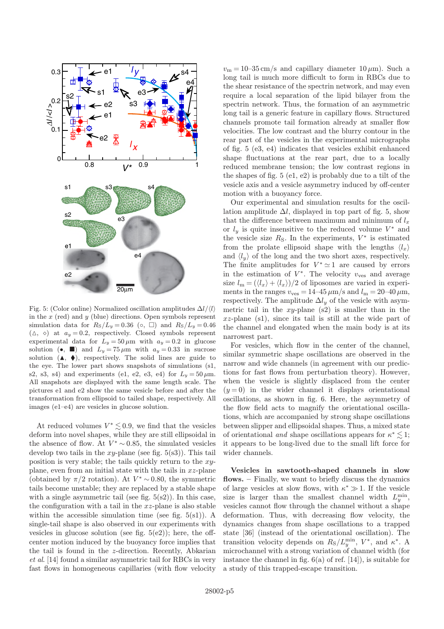

Fig. 5: (Color online) Normalized oscillation amplitudes  $\Delta l/(l)$ in the  $x$  (red) and  $y$  (blue) directions. Open symbols represent simulation data for  $R_s/L_u = 0.36$  (◦, □) and  $R_s/L_u = 0.46$  $(\triangle, \diamond)$  at  $a_y = 0.2$ , respectively. Closed symbols represent experimental data for  $L_y = 50 \,\mu \text{m}$  with  $a_y = 0.2$  in glucose solution (•,  $\blacksquare$ ) and  $L_y = 75 \,\mu \text{m}$  with  $a_y = 0.33$  in sucrose solution  $(A, \blacklozenge)$ , respectively. The solid lines are guide to the eye. The lower part shows snapshots of simulations (s1, s2, s3, s4) and experiments (e1, e2, e3, e4) for  $L_y = 50 \,\mu \text{m}$ . All snapshots are displayed with the same length scale. The pictures e1 and e2 show the same vesicle before and after the transformation from ellipsoid to tailed shape, respectively. All images (e1–e4) are vesicles in glucose solution.

At reduced volumes  $V^* \leq 0.9$ , we find that the vesicles form into novel shapes, while they are still ellipsoidal in deform into novel shapes, while they are still ellipsoidal in the absence of flow. At  $V^* \sim 0.85$ , the simulated vesicles develop two tails in the *xu*-plane (see fig. 5(s3)). This tail develop two tails in the  $xy$ -plane (see fig. 5(s3)). This tail position is very stable; the tails quickly return to the  $xy$ plane, even from an initial state with the tails in  $xz$ -plane (obtained by  $\pi/2$  rotation). At  $V^* \sim 0.80$ , the symmetric tails become unstable: they are replaced by a stable shape tails become unstable; they are replaced by a stable shape with a single asymmetric tail (see fig.  $5(s2)$ ). In this case, the configuration with a tail in the  $xz$ -plane is also stable within the accessible simulation time (see fig.  $5(s1)$ ). A single-tail shape is also observed in our experiments with vesicles in glucose solution (see fig.  $5(e2)$ ); here, the offcenter motion induced by the buoyancy force implies that the tail is found in the z-direction. Recently, Abkarian et al. [14] found a similar asymmetric tail for RBCs in very fast flows in homogeneous capillaries (with flow velocity

 $v_m = 10-35$  cm/s and capillary diameter  $10 \,\mu\text{m}$ ). Such a long tail is much more difficult to form in RBCs due to the shear resistance of the spectrin network, and may even require a local separation of the lipid bilayer from the spectrin network. Thus, the formation of an asymmetric long tail is a generic feature in capillary flows. Structured channels promote tail formation already at smaller flow velocities. The low contrast and the blurry contour in the rear part of the vesicles in the experimental micrographs of fig. 5 (e3, e4) indicates that vesicles exhibit enhanced shape fluctuations at the rear part, due to a locally reduced membrane tension; the low contrast regions in the shapes of fig. 5 (e1, e2) is probably due to a tilt of the vesicle axis and a vesicle asymmetry induced by off-center motion with a buoyancy force.

Our experimental and simulation results for the oscillation amplitude  $\Delta l$ , displayed in top part of fig. 5, show that the difference between maximum and minimum of  $l_x$ or  $l_y$  is quite insensitive to the reduced volume  $V^*$  and<br>the vesicle size  $R_s$ . In the experiments  $V^*$  is estimated the vesicle size  $R_S$ . In the experiments,  $V^*$  is estimated<br>from the prolate ellipsoid shape with the lengths  $\langle l \rangle$ from the prolate ellipsoid shape with the lengths  $\langle l_x \rangle$ and  $\langle l_y \rangle$  of the long and the two short axes, respectively. The finite amplitudes for  $V^* \simeq 1$  are caused by errors<br>in the estimation of  $V^*$ . The velocity used average in the estimation of  $V^*$ . The velocity  $v_{\text{ves}}$  and average<br>size  $l = (l + l + l)$ size  $l_m = (\langle l_x \rangle + \langle l_x \rangle)/2$  of liposomes are varied in experiments in the ranges  $v_{\text{ves}} = 14-45 \,\mu\text{m/s}$  and  $l_{\text{m}} = 20-40 \,\mu\text{m}$ , respectively. The amplitude  $\Delta l_y$  of the vesicle with asymmetric tail in the  $xy$ -plane (s2) is smaller than in the  $xz$ -plane (s1), since its tail is still at the wide part of the channel and elongated when the main body is at its narrowest part.

For vesicles, which flow in the center of the channel, similar symmetric shape oscillations are observed in the narrow and wide channels (in agreement with our predictions for fast flows from perturbation theory). However, when the vesicle is slightly displaced from the center  $(y = 0)$  in the wider channel it displays orientational oscillations, as shown in fig. 6. Here, the asymmetry of the flow field acts to magnify the orientational oscillations, which are accompanied by strong shape oscillations between slipper and ellipsoidal shapes. Thus, a mixed state of orientational and shape oscillations appears for  $\kappa^* \lesssim 1$ ;<br>it appears to be long-lived due to the small lift force for it appears to be long-lived due to the small lift force for wider channels.

Vesicles in sawtooth-shaped channels in slow flows. – Finally, we want to briefly discuss the dynamics of large vesicles at slow flows, with  $\kappa^* \gg 1$ . If the vesicle<br>size is larger than the smallest channel width  $I^{\min}$ size is larger than the smallest channel width  $L_y^{\min}$ , vesicles cannot flow through the channel without a shape deformation. Thus, with decreasing flow velocity, the dynamics changes from shape oscillations to a trapped state [36] (instead of the orientational oscillation). The transition velocity depends on  $R_S/L_y^{\text{min}}$ ,  $V^*$ , and  $\kappa^*$ . A microchannel with a strong variation of channel width (for microchannel with a strong variation of channel width (for instance the channel in fig.  $6(a)$  of ref. [14]), is suitable for a study of this trapped-escape transition.